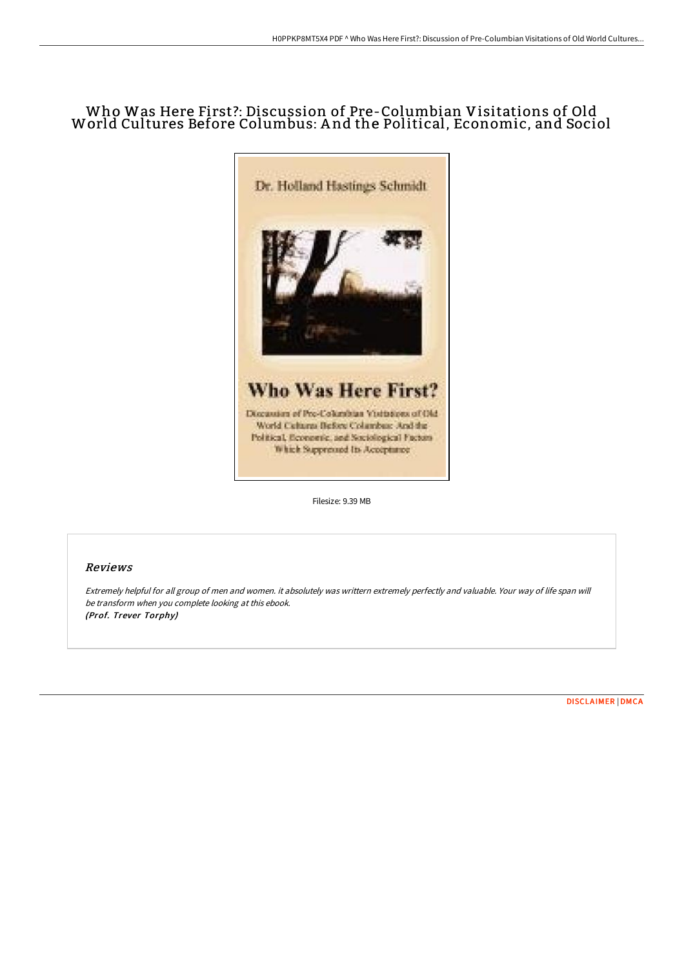# Who Was Here First?: Discussion of Pre-Columbian Visitations of Old World Cultures Before Columbus: A nd the Political, Economic, and Sociol



Filesize: 9.39 MB

## Reviews

Extremely helpful for all group of men and women. it absolutely was writtern extremely perfectly and valuable. Your way of life span will be transform when you complete looking at this ebook. (Prof. Trever Torphy)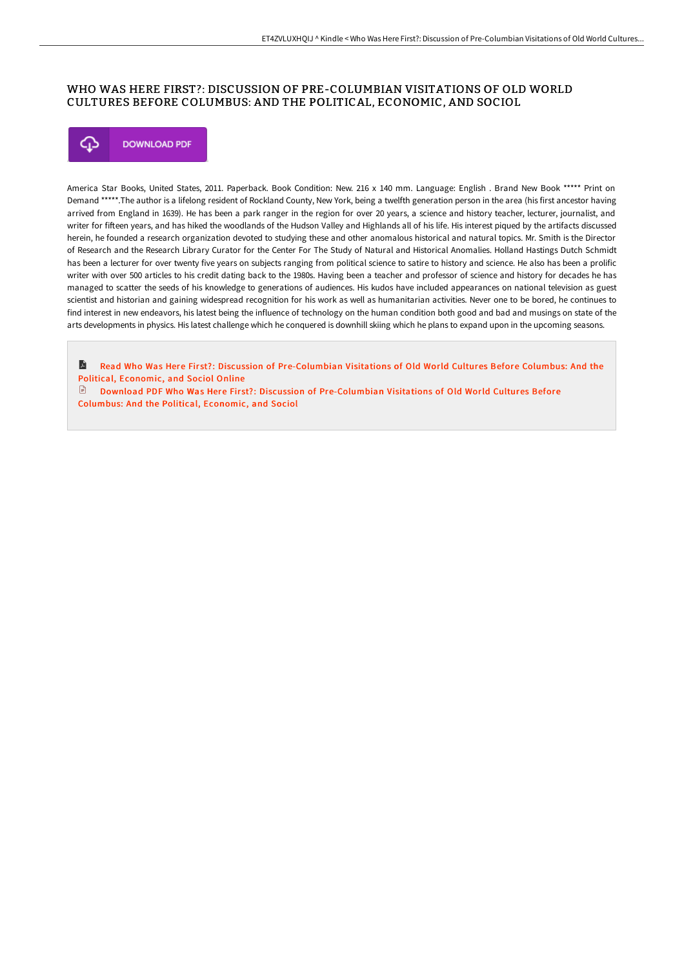## WHO WAS HERE FIRST?: DISCUSSION OF PRE-COLUMBIAN VISITATIONS OF OLD WORLD CULTURES BEFORE COLUMBUS: AND THE POLITICAL, ECONOMIC, AND SOCIOL



America Star Books, United States, 2011. Paperback. Book Condition: New. 216 x 140 mm. Language: English . Brand New Book \*\*\*\*\* Print on Demand \*\*\*\*\*.The author is a lifelong resident of Rockland County, New York, being a twelfth generation person in the area (his first ancestor having arrived from England in 1639). He has been a park ranger in the region for over 20 years, a science and history teacher, lecturer, journalist, and writer for fifteen years, and has hiked the woodlands of the Hudson Valley and Highlands all of his life. His interest piqued by the artifacts discussed herein, he founded a research organization devoted to studying these and other anomalous historical and natural topics. Mr. Smith is the Director of Research and the Research Library Curator for the Center For The Study of Natural and Historical Anomalies. Holland Hastings Dutch Schmidt has been a lecturer for over twenty five years on subjects ranging from political science to satire to history and science. He also has been a prolific writer with over 500 articles to his credit dating back to the 1980s. Having been a teacher and professor of science and history for decades he has managed to scatter the seeds of his knowledge to generations of audiences. His kudos have included appearances on national television as guest scientist and historian and gaining widespread recognition for his work as well as humanitarian activities. Never one to be bored, he continues to find interest in new endeavors, his latest being the influence of technology on the human condition both good and bad and musings on state of the arts developments in physics. His latest challenge which he conquered is downhill skiing which he plans to expand upon in the upcoming seasons.

**R** Read Who Was Here First?: Discussion of [Pre-Columbian](http://bookera.tech/who-was-here-first-discussion-of-pre-columbian-v.html) Visitations of Old World Cultures Before Columbus: And the Political, Economic, and Sociol Online

 $\Box$  Download PDF Who Was Here First?: Discussion of [Pre-Columbian](http://bookera.tech/who-was-here-first-discussion-of-pre-columbian-v.html) Visitations of Old World Cultures Before Columbus: And the Political, Economic, and Sociol